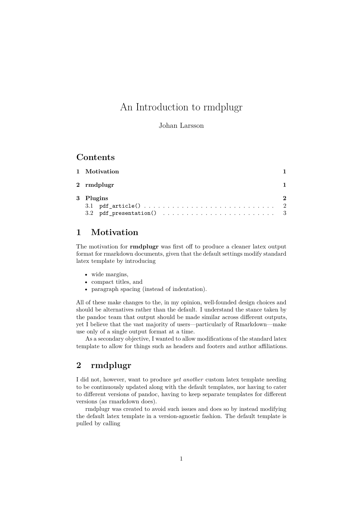# An Introduction to rmdplugr

Johan Larsson

# **Contents**

| 1 Motivation |  |
|--------------|--|
| 2 rmdplugr   |  |
| 3 Plugins    |  |
|              |  |
|              |  |

# <span id="page-0-0"></span>**1 Motivation**

The motivation for **rmdplugr** was first off to produce a cleaner latex output format for rmarkdown documents, given that the default settings modify standard latex template by introducing

- wide margins,
- compact titles, and
- paragraph spacing (instead of indentation).

All of these make changes to the, in my opinion, well-founded design choices and should be alternatives rather than the default. I understand the stance taken by the pandoc team that output should be made similar across different outputs, yet I believe that the vast majority of users—particularly of Rmarkdown—make use only of a single output format at a time.

As a secondary objective, I wanted to allow modifications of the standard latex template to allow for things such as headers and footers and author affiliations.

# <span id="page-0-1"></span>**2 rmdplugr**

I did not, however, want to produce *yet another* custom latex template needing to be continuously updated along with the default templates, nor having to cater to different versions of pandoc, having to keep separate templates for different versions (as rmarkdown does).

rmdplugr was created to avoid such issues and does so by instead modifying the default latex template in a version-agnostic fashion. The default template is pulled by calling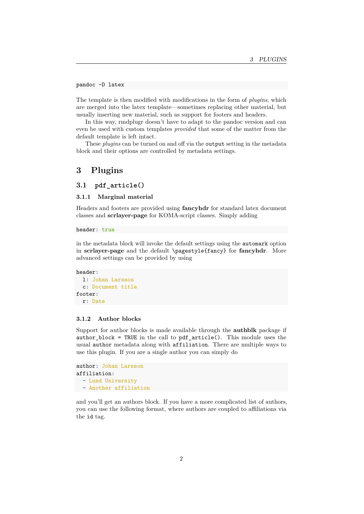pandoc -D latex

The template is then modified with modifications in the form of *plugins*, which are merged into the latex template—sometimes replacing other material, but usually inserting new material, such as support for footers and headers.

In this way, rmdplugr doesn't have to adapt to the pandoc version and can even be used with custom templates *provided* that some of the matter from the default template is left intact.

These *plugins* can be turned on and off via the output setting in the metadata block and their options are controlled by metadata settings.

# <span id="page-1-0"></span>**3 Plugins**

<span id="page-1-1"></span>**3.1 pdf\_article()**

## **3.1.1 Marginal material**

Headers and footers are provided using **fancyhdr** for standard latex document classes and **scrlayer-page** for KOMA-script classes. Simply adding

header**:** true

in the metadata block will invoke the default settings using the automark option in **scrlayer-page** and the default \pagestyle{fancy} for **fancyhdr**. More advanced settings can be provided by using

```
header:
  l: Johan Larsson
  c: Document title
footer:
 r: Date
```
### **3.1.2 Author blocks**

Support for author blocks is made available through the **authblk** package if author block = TRUE in the call to pdf  $article()$ . This module uses the usual author metadata along with affiliation. There are multiple ways to use this plugin. If you are a single author you can simply do

```
author: Johan Larsson
affiliation:
  - Lund University
 - Another affiliation
```
and you'll get an authors block. If you have a more complicated list of authors, you can use the following format, where authors are coupled to affiliations via the id tag.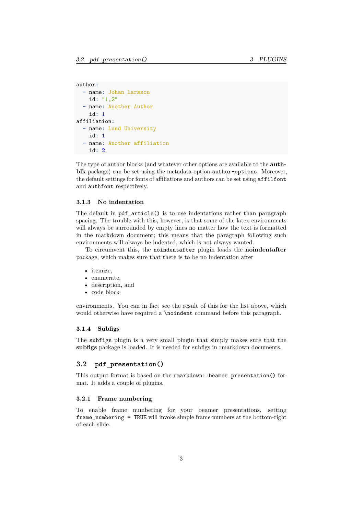```
author:
  - name: Johan Larsson
    id: "1,2"
  - name: Another Author
    id: 1
affiliation:
  - name: Lund University
    id: 1
  - name: Another affiliation
    id: 2
```
The type of author blocks (and whatever other options are available to the **authblk** package) can be set using the metadata option author-options. Moreover, the default settings for fonts of affiliations and authors can be set using affilfont and authfont respectively.

#### **3.1.3 No indentation**

The default in pdf  $article()$  is to use indentations rather than paragraph spacing. The trouble with this, however, is that some of the latex environments will always be surrounded by empty lines no matter how the text is formatted in the markdown document; this means that the paragraph following such environments will always be indented, which is not always wanted.

To circumvent this, the noindentafter plugin loads the **noindentafter** package, which makes sure that there is to be no indentation after

- itemize,
- enumerate,
- description, and
- code block

environments. You can in fact see the result of this for the list above, which would otherwise have required a \noindent command before this paragraph.

### <span id="page-2-1"></span>**3.1.4 Subfigs**

The subfigs plugin is a very small plugin that simply makes sure that the **subfigs** package is loaded. It is needed for subfigs in rmarkdown documents.

### <span id="page-2-0"></span>**3.2 pdf\_presentation()**

This output format is based on the rmarkdown::beamer\_presentation() format. It adds a couple of plugins.

#### **3.2.1 Frame numbering**

To enable frame numbering for your beamer presentations, setting frame\_numbering = TRUE will invoke simple frame numbers at the bottom-right of each slide.